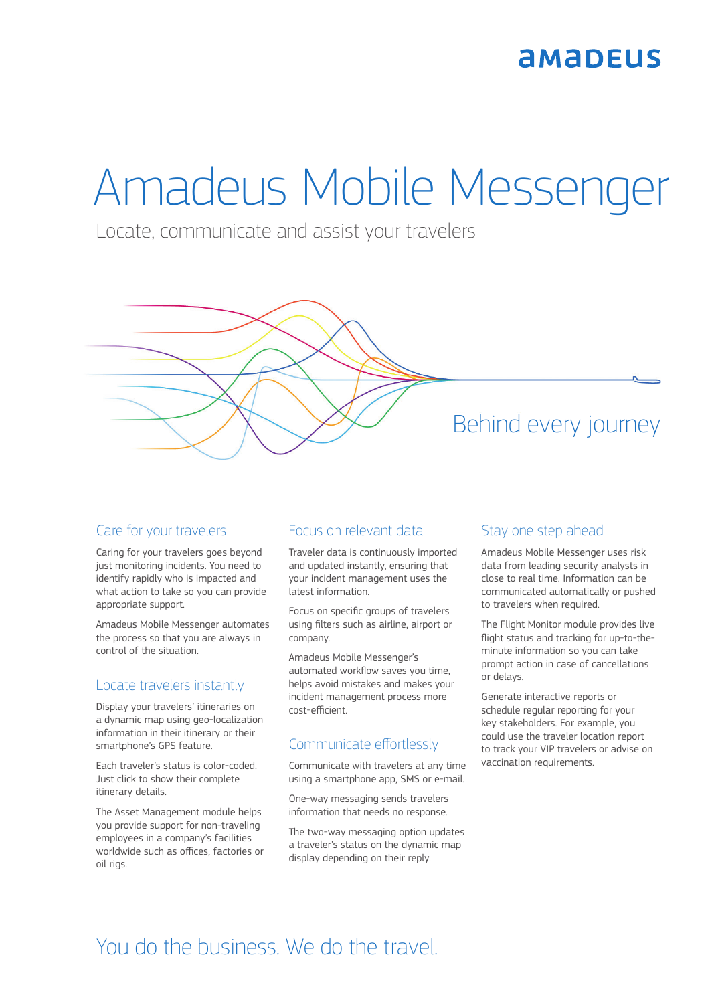## **AMADEUS**

# Amadeus Mobile Messenger

Locate, communicate and assist your travelers

## Behind every journey

#### Care for your travelers

Caring for your travelers goes beyond just monitoring incidents. You need to identify rapidly who is impacted and what action to take so you can provide appropriate support.

Amadeus Mobile Messenger automates the process so that you are always in control of the situation.

#### Locate travelers instantly

Display your travelers' itineraries on a dynamic map using geo-localization information in their itinerary or their smartphone's GPS feature.

Each traveler's status is color-coded. Just click to show their complete itinerary details.

The Asset Management module helps you provide support for non-traveling employees in a company's facilities worldwide such as offices, factories or oil rigs.

#### Focus on relevant data

Traveler data is continuously imported and updated instantly, ensuring that your incident management uses the latest information.

Focus on specific groups of travelers using filters such as airline, airport or company.

Amadeus Mobile Messenger's automated workflow saves you time, helps avoid mistakes and makes your incident management process more cost-efficient.

#### Communicate effortlessly

Communicate with travelers at any time using a smartphone app, SMS or e-mail.

One-way messaging sends travelers information that needs no response.

The two-way messaging option updates a traveler's status on the dynamic map display depending on their reply.

#### Stay one step ahead

Amadeus Mobile Messenger uses risk data from leading security analysts in close to real time. Information can be communicated automatically or pushed to travelers when required.

The Flight Monitor module provides live flight status and tracking for up-to-theminute information so you can take prompt action in case of cancellations or delays.

Generate interactive reports or schedule regular reporting for your key stakeholders. For example, you could use the traveler location report to track your VIP travelers or advise on vaccination requirements.

## You do the business. We do the travel.